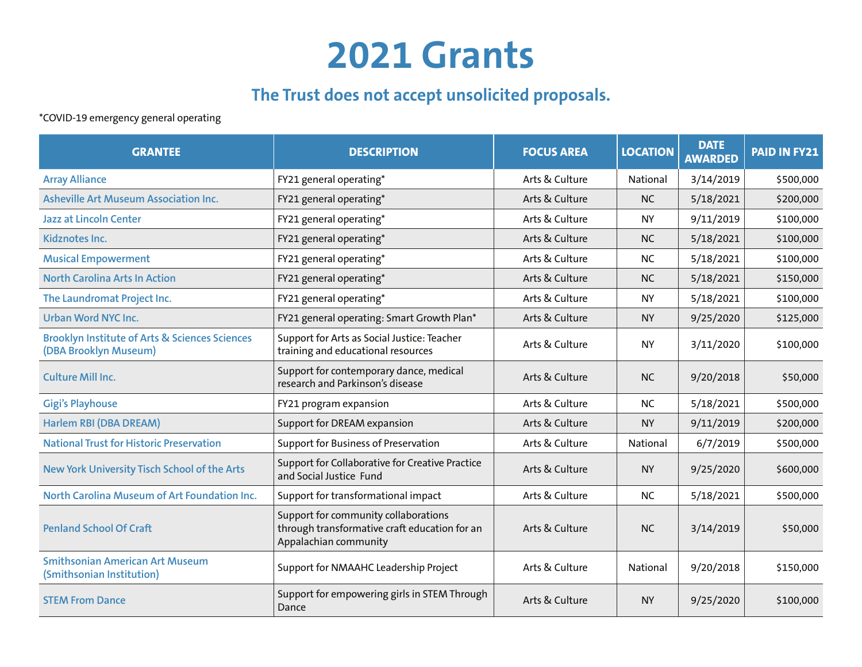## **2021 Grants**

## **The Trust does not accept unsolicited proposals.**

\*COVID-19 emergency general operating

| <b>GRANTEE</b>                                                                     | <b>DESCRIPTION</b>                                                                                             | <b>FOCUS AREA</b> | <b>LOCATION</b> | <b>DATE</b><br><b>AWARDED</b> | <b>PAID IN FY21</b> |
|------------------------------------------------------------------------------------|----------------------------------------------------------------------------------------------------------------|-------------------|-----------------|-------------------------------|---------------------|
| <b>Array Alliance</b>                                                              | FY21 general operating*                                                                                        | Arts & Culture    | National        | 3/14/2019                     | \$500,000           |
| <b>Asheville Art Museum Association Inc.</b>                                       | FY21 general operating*                                                                                        | Arts & Culture    | <b>NC</b>       | 5/18/2021                     | \$200,000           |
| <b>Jazz at Lincoln Center</b>                                                      | FY21 general operating*                                                                                        | Arts & Culture    | <b>NY</b>       | 9/11/2019                     | \$100,000           |
| Kidznotes Inc.                                                                     | FY21 general operating*                                                                                        | Arts & Culture    | <b>NC</b>       | 5/18/2021                     | \$100,000           |
| <b>Musical Empowerment</b>                                                         | FY21 general operating*                                                                                        | Arts & Culture    | <b>NC</b>       | 5/18/2021                     | \$100,000           |
| <b>North Carolina Arts In Action</b>                                               | FY21 general operating*                                                                                        | Arts & Culture    | <b>NC</b>       | 5/18/2021                     | \$150,000           |
| The Laundromat Project Inc.                                                        | FY21 general operating*                                                                                        | Arts & Culture    | <b>NY</b>       | 5/18/2021                     | \$100,000           |
| <b>Urban Word NYC Inc.</b>                                                         | FY21 general operating: Smart Growth Plan*                                                                     | Arts & Culture    | <b>NY</b>       | 9/25/2020                     | \$125,000           |
| <b>Brooklyn Institute of Arts &amp; Sciences Sciences</b><br>(DBA Brooklyn Museum) | Support for Arts as Social Justice: Teacher<br>training and educational resources                              | Arts & Culture    | <b>NY</b>       | 3/11/2020                     | \$100,000           |
| <b>Culture Mill Inc.</b>                                                           | Support for contemporary dance, medical<br>research and Parkinson's disease                                    | Arts & Culture    | <b>NC</b>       | 9/20/2018                     | \$50,000            |
| <b>Gigi's Playhouse</b>                                                            | FY21 program expansion                                                                                         | Arts & Culture    | <b>NC</b>       | 5/18/2021                     | \$500,000           |
| Harlem RBI (DBA DREAM)                                                             | Support for DREAM expansion                                                                                    | Arts & Culture    | <b>NY</b>       | 9/11/2019                     | \$200,000           |
| <b>National Trust for Historic Preservation</b>                                    | Support for Business of Preservation                                                                           | Arts & Culture    | National        | 6/7/2019                      | \$500,000           |
| New York University Tisch School of the Arts                                       | Support for Collaborative for Creative Practice<br>and Social Justice Fund                                     | Arts & Culture    | <b>NY</b>       | 9/25/2020                     | \$600,000           |
| North Carolina Museum of Art Foundation Inc.                                       | Support for transformational impact                                                                            | Arts & Culture    | <b>NC</b>       | 5/18/2021                     | \$500,000           |
| <b>Penland School Of Craft</b>                                                     | Support for community collaborations<br>through transformative craft education for an<br>Appalachian community | Arts & Culture    | <b>NC</b>       | 3/14/2019                     | \$50,000            |
| <b>Smithsonian American Art Museum</b><br>(Smithsonian Institution)                | Support for NMAAHC Leadership Project                                                                          | Arts & Culture    | National        | 9/20/2018                     | \$150,000           |
| <b>STEM From Dance</b>                                                             | Support for empowering girls in STEM Through<br>Dance                                                          | Arts & Culture    | <b>NY</b>       | 9/25/2020                     | \$100,000           |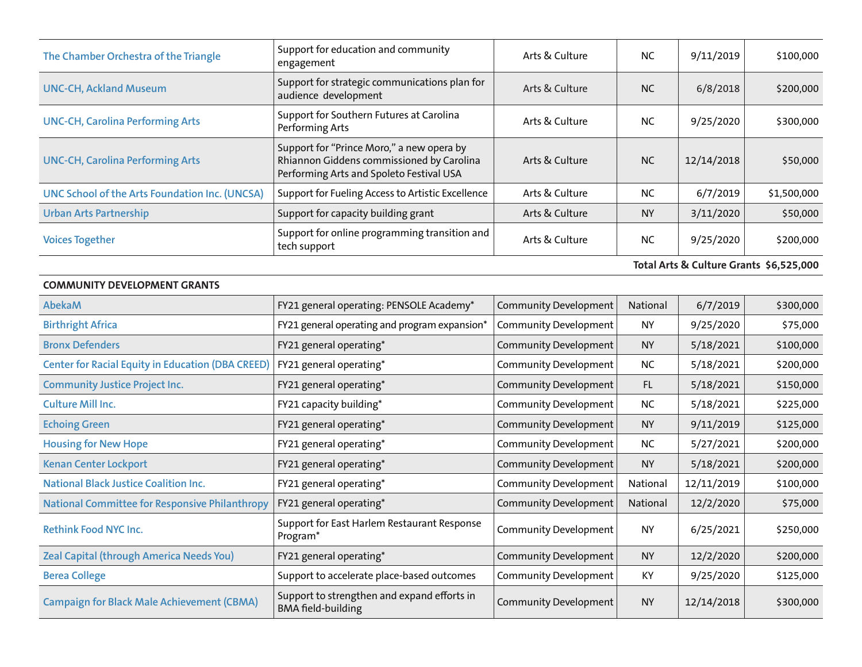| The Chamber Orchestra of the Triangle                    | Support for education and community<br>engagement                                                                                  | Arts & Culture               | <b>NC</b> | 9/11/2019  | \$100,000                               |
|----------------------------------------------------------|------------------------------------------------------------------------------------------------------------------------------------|------------------------------|-----------|------------|-----------------------------------------|
| <b>UNC-CH, Ackland Museum</b>                            | Support for strategic communications plan for<br>audience development                                                              | Arts & Culture               | <b>NC</b> | 6/8/2018   | \$200,000                               |
| <b>UNC-CH, Carolina Performing Arts</b>                  | Support for Southern Futures at Carolina<br>Performing Arts                                                                        | Arts & Culture               | <b>NC</b> | 9/25/2020  | \$300,000                               |
| <b>UNC-CH, Carolina Performing Arts</b>                  | Support for "Prince Moro," a new opera by<br>Rhiannon Giddens commissioned by Carolina<br>Performing Arts and Spoleto Festival USA | Arts & Culture               | <b>NC</b> | 12/14/2018 | \$50,000                                |
| UNC School of the Arts Foundation Inc. (UNCSA)           | Support for Fueling Access to Artistic Excellence                                                                                  | Arts & Culture               | <b>NC</b> | 6/7/2019   | \$1,500,000                             |
| <b>Urban Arts Partnership</b>                            | Support for capacity building grant                                                                                                | Arts & Culture               | <b>NY</b> | 3/11/2020  | \$50,000                                |
| <b>Voices Together</b>                                   | Support for online programming transition and<br>tech support                                                                      | Arts & Culture               | <b>NC</b> | 9/25/2020  | \$200,000                               |
|                                                          |                                                                                                                                    |                              |           |            | Total Arts & Culture Grants \$6,525,000 |
| <b>COMMUNITY DEVELOPMENT GRANTS</b>                      |                                                                                                                                    |                              |           |            |                                         |
| <b>AbekaM</b>                                            | FY21 general operating: PENSOLE Academy*                                                                                           | <b>Community Development</b> | National  | 6/7/2019   | \$300,000                               |
| <b>Birthright Africa</b>                                 | FY21 general operating and program expansion*                                                                                      | <b>Community Development</b> | <b>NY</b> | 9/25/2020  | \$75,000                                |
| <b>Bronx Defenders</b>                                   | FY21 general operating*                                                                                                            | <b>Community Development</b> | <b>NY</b> | 5/18/2021  | \$100,000                               |
| <b>Center for Racial Equity in Education (DBA CREED)</b> | FY21 general operating*                                                                                                            | <b>Community Development</b> | <b>NC</b> | 5/18/2021  | \$200,000                               |
| <b>Community Justice Project Inc.</b>                    | FY21 general operating*                                                                                                            | <b>Community Development</b> | FL.       | 5/18/2021  | \$150,000                               |
| <b>Culture Mill Inc.</b>                                 | FY21 capacity building*                                                                                                            | <b>Community Development</b> | <b>NC</b> | 5/18/2021  | \$225,000                               |
| <b>Echoing Green</b>                                     | FY21 general operating*                                                                                                            | <b>Community Development</b> | <b>NY</b> | 9/11/2019  | \$125,000                               |
| <b>Housing for New Hope</b>                              | FY21 general operating*                                                                                                            | <b>Community Development</b> | <b>NC</b> | 5/27/2021  | \$200,000                               |
| <b>Kenan Center Lockport</b>                             | FY21 general operating*                                                                                                            | <b>Community Development</b> | <b>NY</b> | 5/18/2021  | \$200,000                               |
| <b>National Black Justice Coalition Inc.</b>             | FY21 general operating*                                                                                                            | <b>Community Development</b> | National  | 12/11/2019 | \$100,000                               |
| <b>National Committee for Responsive Philanthropy</b>    | FY21 general operating*                                                                                                            | <b>Community Development</b> | National  | 12/2/2020  | \$75,000                                |
| Rethink Food NYC Inc.                                    | Support for East Harlem Restaurant Response<br>Program*                                                                            | <b>Community Development</b> | <b>NY</b> | 6/25/2021  | \$250,000                               |
| <b>Zeal Capital (through America Needs You)</b>          | FY21 general operating*                                                                                                            | <b>Community Development</b> | <b>NY</b> | 12/2/2020  | \$200,000                               |
| <b>Berea College</b>                                     | Support to accelerate place-based outcomes                                                                                         | <b>Community Development</b> | KY        | 9/25/2020  | \$125,000                               |
| <b>Campaign for Black Male Achievement (CBMA)</b>        | Support to strengthen and expand efforts in<br><b>BMA</b> field-building                                                           | <b>Community Development</b> | <b>NY</b> | 12/14/2018 | \$300,000                               |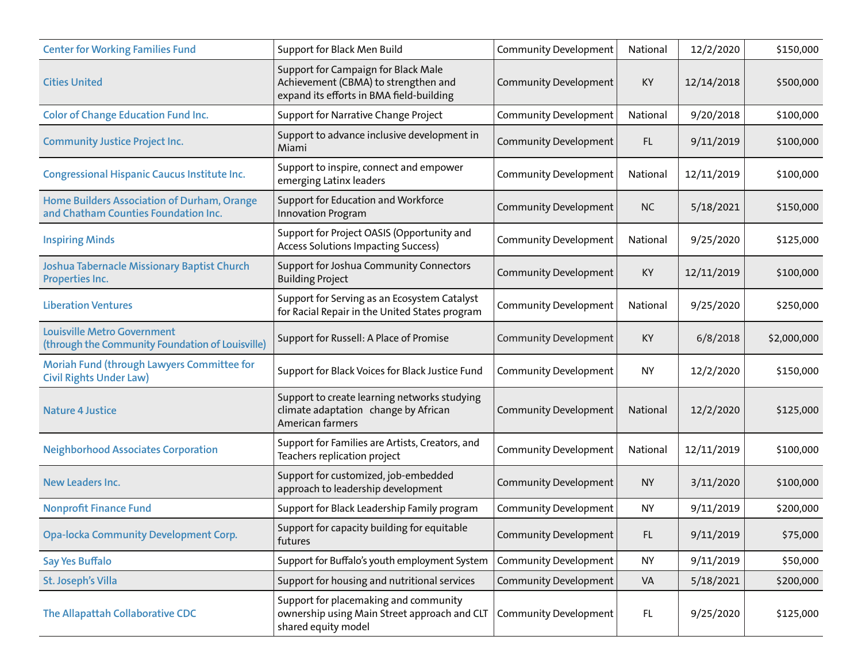| <b>Center for Working Families Fund</b>                                                | Support for Black Men Build                                                                                             | <b>Community Development</b> | National  | 12/2/2020  | \$150,000   |
|----------------------------------------------------------------------------------------|-------------------------------------------------------------------------------------------------------------------------|------------------------------|-----------|------------|-------------|
| <b>Cities United</b>                                                                   | Support for Campaign for Black Male<br>Achievement (CBMA) to strengthen and<br>expand its efforts in BMA field-building | <b>Community Development</b> | KY        | 12/14/2018 | \$500,000   |
| <b>Color of Change Education Fund Inc.</b>                                             | Support for Narrative Change Project                                                                                    | <b>Community Development</b> | National  | 9/20/2018  | \$100,000   |
| <b>Community Justice Project Inc.</b>                                                  | Support to advance inclusive development in<br>Miami                                                                    | <b>Community Development</b> | FL.       | 9/11/2019  | \$100,000   |
| <b>Congressional Hispanic Caucus Institute Inc.</b>                                    | Support to inspire, connect and empower<br>emerging Latinx leaders                                                      | <b>Community Development</b> | National  | 12/11/2019 | \$100,000   |
| Home Builders Association of Durham, Orange<br>and Chatham Counties Foundation Inc.    | Support for Education and Workforce<br><b>Innovation Program</b>                                                        | <b>Community Development</b> | <b>NC</b> | 5/18/2021  | \$150,000   |
| <b>Inspiring Minds</b>                                                                 | Support for Project OASIS (Opportunity and<br><b>Access Solutions Impacting Success)</b>                                | <b>Community Development</b> | National  | 9/25/2020  | \$125,000   |
| Joshua Tabernacle Missionary Baptist Church<br>Properties Inc.                         | Support for Joshua Community Connectors<br><b>Building Project</b>                                                      | <b>Community Development</b> | KY        | 12/11/2019 | \$100,000   |
| <b>Liberation Ventures</b>                                                             | Support for Serving as an Ecosystem Catalyst<br>for Racial Repair in the United States program                          | <b>Community Development</b> | National  | 9/25/2020  | \$250,000   |
| <b>Louisville Metro Government</b><br>(through the Community Foundation of Louisville) | Support for Russell: A Place of Promise                                                                                 | <b>Community Development</b> | KY        | 6/8/2018   | \$2,000,000 |
| Moriah Fund (through Lawyers Committee for<br><b>Civil Rights Under Law)</b>           | Support for Black Voices for Black Justice Fund                                                                         | <b>Community Development</b> | <b>NY</b> | 12/2/2020  | \$150,000   |
| <b>Nature 4 Justice</b>                                                                | Support to create learning networks studying<br>climate adaptation change by African<br>American farmers                | <b>Community Development</b> | National  | 12/2/2020  | \$125,000   |
| <b>Neighborhood Associates Corporation</b>                                             | Support for Families are Artists, Creators, and<br>Teachers replication project                                         | <b>Community Development</b> | National  | 12/11/2019 | \$100,000   |
| <b>New Leaders Inc.</b>                                                                | Support for customized, job-embedded<br>approach to leadership development                                              | <b>Community Development</b> | <b>NY</b> | 3/11/2020  | \$100,000   |
| <b>Nonprofit Finance Fund</b>                                                          | Support for Black Leadership Family program                                                                             | <b>Community Development</b> | <b>NY</b> | 9/11/2019  | \$200,000   |
| <b>Opa-locka Community Development Corp.</b>                                           | Support for capacity building for equitable<br>futures                                                                  | <b>Community Development</b> | FL.       | 9/11/2019  | \$75,000    |
| <b>Say Yes Buffalo</b>                                                                 | Support for Buffalo's youth employment System                                                                           | <b>Community Development</b> | <b>NY</b> | 9/11/2019  | \$50,000    |
| St. Joseph's Villa                                                                     | Support for housing and nutritional services                                                                            | <b>Community Development</b> | VA        | 5/18/2021  | \$200,000   |
| The Allapattah Collaborative CDC                                                       | Support for placemaking and community<br>ownership using Main Street approach and CLT<br>shared equity model            | <b>Community Development</b> | FL        | 9/25/2020  | \$125,000   |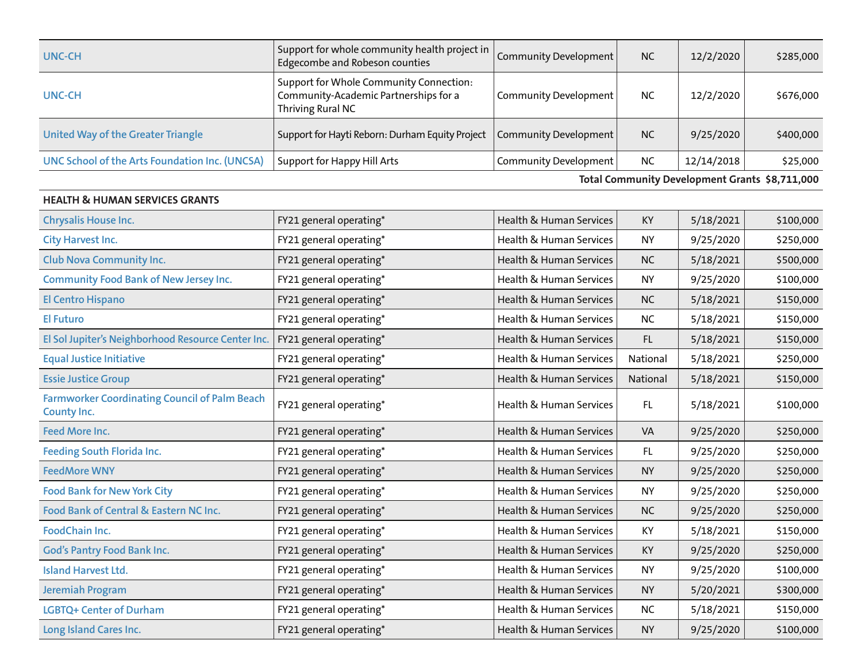| <b>UNC-CH</b>                                  | Support for whole community health project in<br>Edgecombe and Robeson counties                       | Community Development        | <b>NC</b> | 12/2/2020  | \$285,000 |
|------------------------------------------------|-------------------------------------------------------------------------------------------------------|------------------------------|-----------|------------|-----------|
| <b>UNC-CH</b>                                  | Support for Whole Community Connection:<br>Community-Academic Partnerships for a<br>Thriving Rural NC | <b>Community Development</b> | <b>NC</b> | 12/2/2020  | \$676,000 |
| United Way of the Greater Triangle             | Support for Hayti Reborn: Durham Equity Project                                                       | Community Development        | <b>NC</b> | 9/25/2020  | \$400,000 |
| UNC School of the Arts Foundation Inc. (UNCSA) | Support for Happy Hill Arts                                                                           | <b>Community Development</b> | <b>NC</b> | 12/14/2018 | \$25,000  |

**Total Community Development Grants \$8,711,000**

| <b>HEALTH &amp; HUMAN SERVICES GRANTS</b>                           |                         |                                    |           |           |           |
|---------------------------------------------------------------------|-------------------------|------------------------------------|-----------|-----------|-----------|
| <b>Chrysalis House Inc.</b>                                         | FY21 general operating* | Health & Human Services            | <b>KY</b> | 5/18/2021 | \$100,000 |
| <b>City Harvest Inc.</b>                                            | FY21 general operating* | Health & Human Services            | <b>NY</b> | 9/25/2020 | \$250,000 |
| <b>Club Nova Community Inc.</b>                                     | FY21 general operating* | Health & Human Services            | <b>NC</b> | 5/18/2021 | \$500,000 |
| <b>Community Food Bank of New Jersey Inc.</b>                       | FY21 general operating* | <b>Health &amp; Human Services</b> | <b>NY</b> | 9/25/2020 | \$100,000 |
| <b>El Centro Hispano</b>                                            | FY21 general operating* | Health & Human Services            | <b>NC</b> | 5/18/2021 | \$150,000 |
| <b>El Futuro</b>                                                    | FY21 general operating* | Health & Human Services            | <b>NC</b> | 5/18/2021 | \$150,000 |
| El Sol Jupiter's Neighborhood Resource Center Inc.                  | FY21 general operating* | Health & Human Services            | FL.       | 5/18/2021 | \$150,000 |
| <b>Equal Justice Initiative</b>                                     | FY21 general operating* | Health & Human Services            | National  | 5/18/2021 | \$250,000 |
| <b>Essie Justice Group</b>                                          | FY21 general operating* | Health & Human Services            | National  | 5/18/2021 | \$150,000 |
| <b>Farmworker Coordinating Council of Palm Beach</b><br>County Inc. | FY21 general operating* | Health & Human Services            | FL.       | 5/18/2021 | \$100,000 |
| Feed More Inc.                                                      | FY21 general operating* | Health & Human Services            | VA        | 9/25/2020 | \$250,000 |
| <b>Feeding South Florida Inc.</b>                                   | FY21 general operating* | Health & Human Services            | FL.       | 9/25/2020 | \$250,000 |
| <b>FeedMore WNY</b>                                                 | FY21 general operating* | Health & Human Services            | <b>NY</b> | 9/25/2020 | \$250,000 |
| <b>Food Bank for New York City</b>                                  | FY21 general operating* | Health & Human Services            | <b>NY</b> | 9/25/2020 | \$250,000 |
| Food Bank of Central & Eastern NC Inc.                              | FY21 general operating* | Health & Human Services            | <b>NC</b> | 9/25/2020 | \$250,000 |
| FoodChain Inc.                                                      | FY21 general operating* | Health & Human Services            | KY        | 5/18/2021 | \$150,000 |
| <b>God's Pantry Food Bank Inc.</b>                                  | FY21 general operating* | Health & Human Services            | KY        | 9/25/2020 | \$250,000 |
| <b>Island Harvest Ltd.</b>                                          | FY21 general operating* | Health & Human Services            | <b>NY</b> | 9/25/2020 | \$100,000 |
| <b>Jeremiah Program</b>                                             | FY21 general operating* | Health & Human Services            | <b>NY</b> | 5/20/2021 | \$300,000 |
| <b>LGBTQ+ Center of Durham</b>                                      | FY21 general operating* | Health & Human Services            | <b>NC</b> | 5/18/2021 | \$150,000 |
| Long Island Cares Inc.                                              | FY21 general operating* | Health & Human Services            | <b>NY</b> | 9/25/2020 | \$100,000 |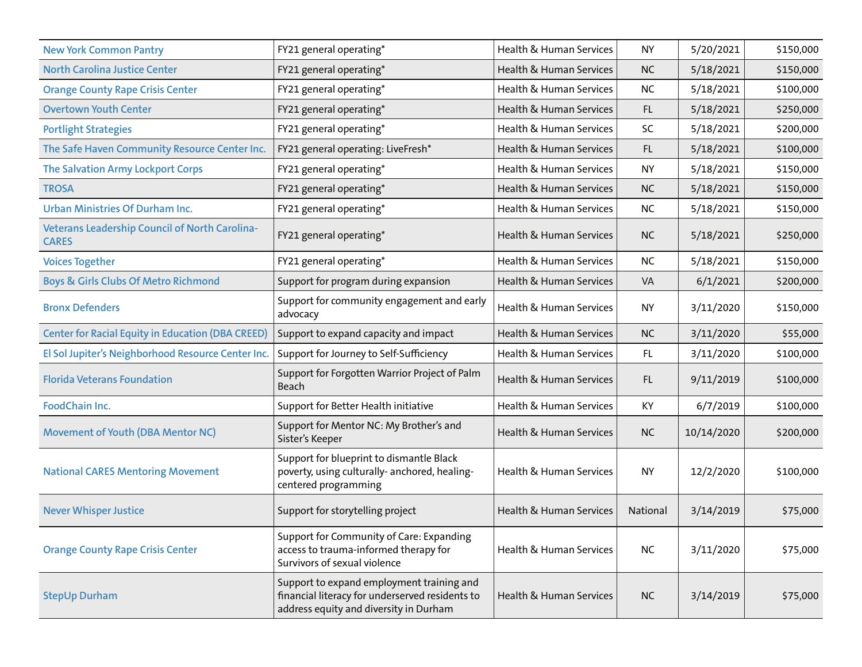| <b>New York Common Pantry</b>                                         | FY21 general operating*                                                                                                                | Health & Human Services            | <b>NY</b> | 5/20/2021  | \$150,000 |
|-----------------------------------------------------------------------|----------------------------------------------------------------------------------------------------------------------------------------|------------------------------------|-----------|------------|-----------|
| <b>North Carolina Justice Center</b>                                  | FY21 general operating*                                                                                                                | Health & Human Services            | <b>NC</b> | 5/18/2021  | \$150,000 |
| <b>Orange County Rape Crisis Center</b>                               | FY21 general operating*                                                                                                                | Health & Human Services            | <b>NC</b> | 5/18/2021  | \$100,000 |
| <b>Overtown Youth Center</b>                                          | FY21 general operating*                                                                                                                | Health & Human Services            | FL.       | 5/18/2021  | \$250,000 |
| <b>Portlight Strategies</b>                                           | FY21 general operating*                                                                                                                | Health & Human Services            | SC        | 5/18/2021  | \$200,000 |
| The Safe Haven Community Resource Center Inc.                         | FY21 general operating: LiveFresh*                                                                                                     | Health & Human Services            | FL.       | 5/18/2021  | \$100,000 |
| The Salvation Army Lockport Corps                                     | FY21 general operating*                                                                                                                | Health & Human Services            | <b>NY</b> | 5/18/2021  | \$150,000 |
| <b>TROSA</b>                                                          | FY21 general operating*                                                                                                                | Health & Human Services            | <b>NC</b> | 5/18/2021  | \$150,000 |
| <b>Urban Ministries Of Durham Inc.</b>                                | FY21 general operating*                                                                                                                | Health & Human Services            | <b>NC</b> | 5/18/2021  | \$150,000 |
| <b>Veterans Leadership Council of North Carolina-</b><br><b>CARES</b> | FY21 general operating*                                                                                                                | Health & Human Services            | <b>NC</b> | 5/18/2021  | \$250,000 |
| <b>Voices Together</b>                                                | FY21 general operating*                                                                                                                | Health & Human Services            | <b>NC</b> | 5/18/2021  | \$150,000 |
| <b>Boys &amp; Girls Clubs Of Metro Richmond</b>                       | Support for program during expansion                                                                                                   | Health & Human Services            | VA        | 6/1/2021   | \$200,000 |
| <b>Bronx Defenders</b>                                                | Support for community engagement and early<br>advocacy                                                                                 | Health & Human Services            | <b>NY</b> | 3/11/2020  | \$150,000 |
| <b>Center for Racial Equity in Education (DBA CREED)</b>              | Support to expand capacity and impact                                                                                                  | Health & Human Services            | <b>NC</b> | 3/11/2020  | \$55,000  |
| El Sol Jupiter's Neighborhood Resource Center Inc.                    | Support for Journey to Self-Sufficiency                                                                                                | Health & Human Services            | FL.       | 3/11/2020  | \$100,000 |
| <b>Florida Veterans Foundation</b>                                    | Support for Forgotten Warrior Project of Palm<br>Beach                                                                                 | <b>Health &amp; Human Services</b> | FL.       | 9/11/2019  | \$100,000 |
| FoodChain Inc.                                                        | Support for Better Health initiative                                                                                                   | Health & Human Services            | KY        | 6/7/2019   | \$100,000 |
| <b>Movement of Youth (DBA Mentor NC)</b>                              | Support for Mentor NC: My Brother's and<br>Sister's Keeper                                                                             | Health & Human Services            | <b>NC</b> | 10/14/2020 | \$200,000 |
| <b>National CARES Mentoring Movement</b>                              | Support for blueprint to dismantle Black<br>poverty, using culturally- anchored, healing-<br>centered programming                      | Health & Human Services            | <b>NY</b> | 12/2/2020  | \$100,000 |
| <b>Never Whisper Justice</b>                                          | Support for storytelling project                                                                                                       | Health & Human Services            | National  | 3/14/2019  | \$75,000  |
| <b>Orange County Rape Crisis Center</b>                               | Support for Community of Care: Expanding<br>access to trauma-informed therapy for<br>Survivors of sexual violence                      | Health & Human Services            | <b>NC</b> | 3/11/2020  | \$75,000  |
| <b>StepUp Durham</b>                                                  | Support to expand employment training and<br>financial literacy for underserved residents to<br>address equity and diversity in Durham | <b>Health &amp; Human Services</b> | <b>NC</b> | 3/14/2019  | \$75,000  |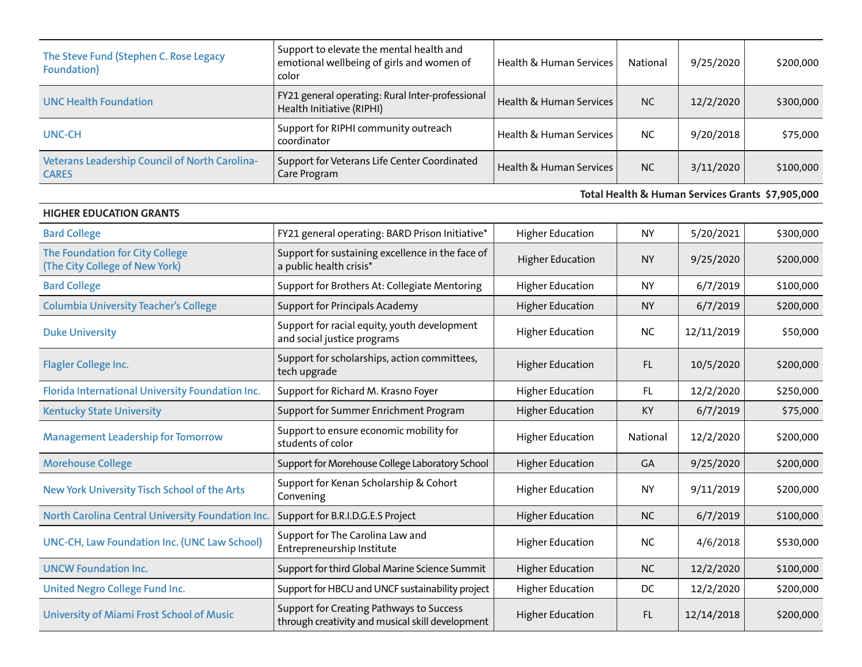| The Steve Fund (Stephen C. Rose Legacy<br>Foundation)          | Support to elevate the mental health and<br>emotional wellbeing of girls and women of<br>color | <b>Health &amp; Human Services</b> | National  | 9/25/2020 | \$200,000 |
|----------------------------------------------------------------|------------------------------------------------------------------------------------------------|------------------------------------|-----------|-----------|-----------|
| <b>UNC Health Foundation</b>                                   | FY21 general operating: Rural Inter-professional<br>Health Initiative (RIPHI)                  | <b>Health &amp; Human Services</b> | <b>NC</b> | 12/2/2020 | \$300,000 |
| UNC-CH                                                         | Support for RIPHI community outreach<br>coordinator                                            | <b>Health &amp; Human Services</b> | <b>NC</b> | 9/20/2018 | \$75,000  |
| Veterans Leadership Council of North Carolina-<br><b>CARES</b> | Support for Veterans Life Center Coordinated<br>Care Program                                   | <b>Health &amp; Human Services</b> | <b>NC</b> | 3/11/2020 | \$100,000 |

**Total Health & Human Services Grants \$7,905,000**

| <b>HIGHER EDUCATION GRANTS</b>                                    |                                                                                              |                         |                 |            |           |
|-------------------------------------------------------------------|----------------------------------------------------------------------------------------------|-------------------------|-----------------|------------|-----------|
| <b>Bard College</b>                                               | FY21 general operating: BARD Prison Initiative*                                              | <b>Higher Education</b> | <b>NY</b>       | 5/20/2021  | \$300,000 |
| The Foundation for City College<br>(The City College of New York) | Support for sustaining excellence in the face of<br>a public health crisis*                  | <b>Higher Education</b> | <b>NY</b>       | 9/25/2020  | \$200,000 |
| <b>Bard College</b>                                               | Support for Brothers At: Collegiate Mentoring                                                | <b>Higher Education</b> | <b>NY</b>       | 6/7/2019   | \$100,000 |
| <b>Columbia University Teacher's College</b>                      | <b>Support for Principals Academy</b>                                                        | <b>Higher Education</b> | <b>NY</b>       | 6/7/2019   | \$200,000 |
| <b>Duke University</b>                                            | Support for racial equity, youth development<br>and social justice programs                  | <b>Higher Education</b> | <b>NC</b>       | 12/11/2019 | \$50,000  |
| <b>Flagler College Inc.</b>                                       | Support for scholarships, action committees,<br>tech upgrade                                 | <b>Higher Education</b> | FL.             | 10/5/2020  | \$200,000 |
| Florida International University Foundation Inc.                  | Support for Richard M. Krasno Foyer                                                          | <b>Higher Education</b> | FL.             | 12/2/2020  | \$250,000 |
| <b>Kentucky State University</b>                                  | Support for Summer Enrichment Program                                                        | <b>Higher Education</b> | KY              | 6/7/2019   | \$75,000  |
| <b>Management Leadership for Tomorrow</b>                         | Support to ensure economic mobility for<br>students of color                                 | <b>Higher Education</b> | <b>National</b> | 12/2/2020  | \$200,000 |
| <b>Morehouse College</b>                                          | Support for Morehouse College Laboratory School                                              | <b>Higher Education</b> | GA              | 9/25/2020  | \$200,000 |
| New York University Tisch School of the Arts                      | Support for Kenan Scholarship & Cohort<br>Convening                                          | <b>Higher Education</b> | <b>NY</b>       | 9/11/2019  | \$200,000 |
| North Carolina Central University Foundation Inc.                 | Support for B.R.I.D.G.E.S Project                                                            | <b>Higher Education</b> | <b>NC</b>       | 6/7/2019   | \$100,000 |
| <b>UNC-CH, Law Foundation Inc. (UNC Law School)</b>               | Support for The Carolina Law and<br>Entrepreneurship Institute                               | <b>Higher Education</b> | <b>NC</b>       | 4/6/2018   | \$530,000 |
| <b>UNCW Foundation Inc.</b>                                       | Support for third Global Marine Science Summit                                               | <b>Higher Education</b> | <b>NC</b>       | 12/2/2020  | \$100,000 |
| United Negro College Fund Inc.                                    | Support for HBCU and UNCF sustainability project                                             | <b>Higher Education</b> | DC              | 12/2/2020  | \$200,000 |
| <b>University of Miami Frost School of Music</b>                  | Support for Creating Pathways to Success<br>through creativity and musical skill development | <b>Higher Education</b> | FL.             | 12/14/2018 | \$200,000 |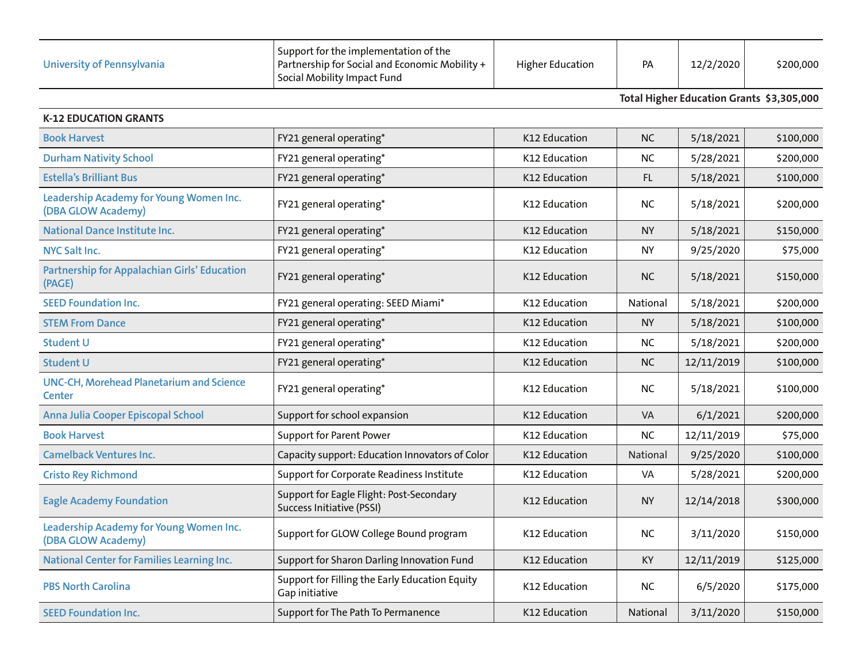| University of Pennsylvania | Support for the implementation of the<br>Partnership for Social and Economic Mobility +<br>  Social Mobility Impact Fund | <b>Higher Education</b> | <b>PA</b> | 12/2/2020 | \$200,000 |
|----------------------------|--------------------------------------------------------------------------------------------------------------------------|-------------------------|-----------|-----------|-----------|
|----------------------------|--------------------------------------------------------------------------------------------------------------------------|-------------------------|-----------|-----------|-----------|

**Total Higher Education Grants \$3,305,000**

| <b>K-12 EDUCATION GRANTS</b>                                     |                                                                       |               |           |            |           |
|------------------------------------------------------------------|-----------------------------------------------------------------------|---------------|-----------|------------|-----------|
| <b>Book Harvest</b>                                              | FY21 general operating*                                               | K12 Education | <b>NC</b> | 5/18/2021  | \$100,000 |
| <b>Durham Nativity School</b>                                    | FY21 general operating*                                               | K12 Education | <b>NC</b> | 5/28/2021  | \$200,000 |
| <b>Estella's Brilliant Bus</b>                                   | FY21 general operating*                                               | K12 Education | FL.       | 5/18/2021  | \$100,000 |
| Leadership Academy for Young Women Inc.<br>(DBA GLOW Academy)    | FY21 general operating*                                               | K12 Education | NC.       | 5/18/2021  | \$200,000 |
| <b>National Dance Institute Inc.</b>                             | FY21 general operating*                                               | K12 Education | <b>NY</b> | 5/18/2021  | \$150,000 |
| <b>NYC Salt Inc.</b>                                             | FY21 general operating*                                               | K12 Education | <b>NY</b> | 9/25/2020  | \$75,000  |
| Partnership for Appalachian Girls' Education<br>(PAGE)           | FY21 general operating*                                               | K12 Education | <b>NC</b> | 5/18/2021  | \$150,000 |
| <b>SEED Foundation Inc.</b>                                      | FY21 general operating: SEED Miami*                                   | K12 Education | National  | 5/18/2021  | \$200,000 |
| <b>STEM From Dance</b>                                           | FY21 general operating*                                               | K12 Education | <b>NY</b> | 5/18/2021  | \$100,000 |
| <b>Student U</b>                                                 | FY21 general operating*                                               | K12 Education | <b>NC</b> | 5/18/2021  | \$200,000 |
| <b>Student U</b>                                                 | FY21 general operating*                                               | K12 Education | <b>NC</b> | 12/11/2019 | \$100,000 |
| <b>UNC-CH, Morehead Planetarium and Science</b><br><b>Center</b> | FY21 general operating*                                               | K12 Education | NC.       | 5/18/2021  | \$100,000 |
| Anna Julia Cooper Episcopal School                               | Support for school expansion                                          | K12 Education | <b>VA</b> | 6/1/2021   | \$200,000 |
| <b>Book Harvest</b>                                              | <b>Support for Parent Power</b>                                       | K12 Education | <b>NC</b> | 12/11/2019 | \$75,000  |
| <b>Camelback Ventures Inc.</b>                                   | Capacity support: Education Innovators of Color                       | K12 Education | National  | 9/25/2020  | \$100,000 |
| <b>Cristo Rey Richmond</b>                                       | Support for Corporate Readiness Institute                             | K12 Education | VA        | 5/28/2021  | \$200,000 |
| <b>Eagle Academy Foundation</b>                                  | Support for Eagle Flight: Post-Secondary<br>Success Initiative (PSSI) | K12 Education | <b>NY</b> | 12/14/2018 | \$300,000 |
| Leadership Academy for Young Women Inc.<br>(DBA GLOW Academy)    | Support for GLOW College Bound program                                | K12 Education | <b>NC</b> | 3/11/2020  | \$150,000 |
| <b>National Center for Families Learning Inc.</b>                | Support for Sharon Darling Innovation Fund                            | K12 Education | KY        | 12/11/2019 | \$125,000 |
| <b>PBS North Carolina</b>                                        | Support for Filling the Early Education Equity<br>Gap initiative      | K12 Education | <b>NC</b> | 6/5/2020   | \$175,000 |
| <b>SEED Foundation Inc.</b>                                      | Support for The Path To Permanence                                    | K12 Education | National  | 3/11/2020  | \$150,000 |